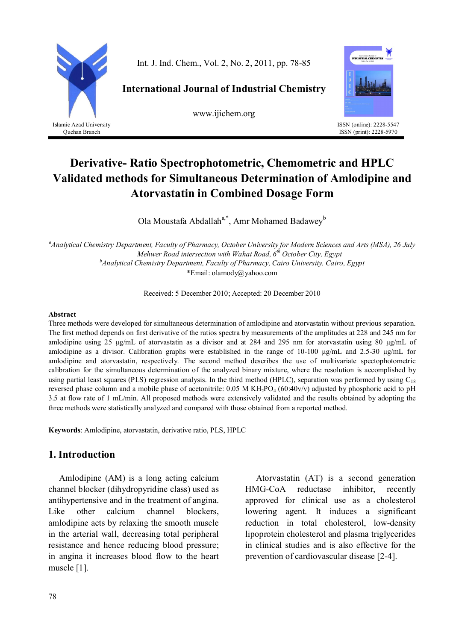

Quchan Branch

Int. J. Ind. Chem., Vol. 2, No. 2, 2011, pp. 78-85

**International Journal of Industrial Chemistry**

www.ijichem.org



ISSN (online): 2228-5547 ISSN (print): 2228-5970

# **Derivative- Ratio Spectrophotometric, Chemometric and HPLC Validated methods for Simultaneous Determination of Amlodipine and Atorvastatin in Combined Dosage Form**

Ola Moustafa Abdallah<sup>a,\*</sup>, Amr Mohamed Badawey<sup>b</sup>

*<sup>a</sup>Analytical Chemistry Department, Faculty of Pharmacy, October University for Modern Sciences and Arts (MSA), 26 July Mehwer Road intersection with Wahat Road, 6th October City, Egypt <sup>b</sup>Analytical Chemistry Department, Faculty of Pharmacy, Cairo University, Cairo, Egypt* \*Email: olamody@yahoo.com

Received: 5 December 2010; Accepted: 20 December 2010

#### **Abstract**

Three methods were developed for simultaneous determination of amlodipine and atorvastatin without previous separation. The first method depends on first derivative of the ratios spectra by measurements of the amplitudes at 228 and 245 nm for amlodipine using 25 μg/mL of atorvastatin as a divisor and at 284 and 295 nm for atorvastatin using 80 μg/mL of amlodipine as a divisor. Calibration graphs were established in the range of 10-100 μg/mL and 2.5-30 μg/mL for amlodipine and atorvastatin, respectively. The second method describes the use of multivariate spectophotometric calibration for the simultaneous determination of the analyzed binary mixture, where the resolution is accomplished by using partial least squares (PLS) regression analysis. In the third method (HPLC), separation was performed by using  $C_{18}$ reversed phase column and a mobile phase of acetonitrile:  $0.05$  M KH<sub>2</sub>PO<sub>4</sub> (60:40v/v) adjusted by phosphoric acid to pH 3.5 at flow rate of 1 mL/min. All proposed methods were extensively validated and the results obtained by adopting the three methods were statistically analyzed and compared with those obtained from a reported method.

**Keywords**: Amlodipine, atorvastatin, derivative ratio, PLS, HPLC

## **1. Introduction**

Amlodipine (AM) is a long acting calcium channel blocker (dihydropyridine class) used as antihypertensive and in the treatment of angina. Like other calcium channel blockers, amlodipine acts by relaxing the smooth muscle in the arterial wall, decreasing total peripheral resistance and hence reducing blood pressure; in angina it increases blood flow to the heart muscle [1].

Atorvastatin (AT) is a second generation HMG-CoA reductase inhibitor, recently approved for clinical use as a cholesterol lowering agent. It induces a significant reduction in total cholesterol, low-density lipoprotein cholesterol and plasma triglycerides in clinical studies and is also effective for the prevention of cardiovascular disease [2-4].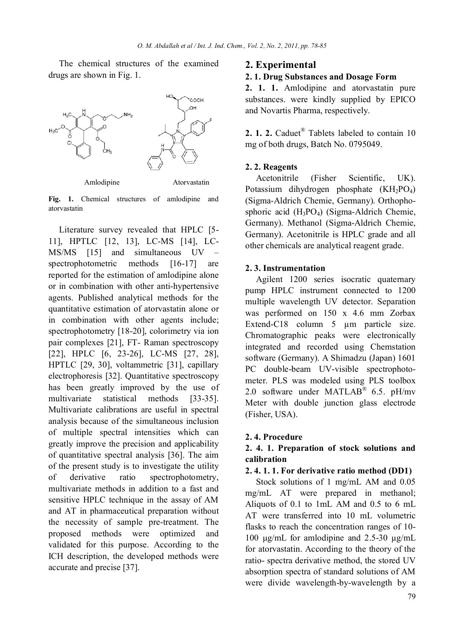The chemical structures of the examined drugs are shown in Fig. 1.



**Fig. 1.** Chemical structures of amlodipine and atorvastatin

Literature survey revealed that HPLC [5- 11], HPTLC [12, 13], LC-MS [14], LC-MS/MS [15] and simultaneous UV – spectrophotometric methods [16-17] are reported for the estimation of amlodipine alone or in combination with other anti-hypertensive agents. Published analytical methods for the quantitative estimation of atorvastatin alone or in combination with other agents include; spectrophotometry [18-20], colorimetry via ion pair complexes [21], FT- Raman spectroscopy [22], HPLC [6, 23-26], LC-MS [27, 28], HPTLC [29, 30], voltammetric [31], capillary electrophoresis [32]. Quantitative spectroscopy has been greatly improved by the use of multivariate statistical methods [33-35]. Multivariate calibrations are useful in spectral analysis because of the simultaneous inclusion of multiple spectral intensities which can greatly improve the precision and applicability of quantitative spectral analysis [36]. The aim of the present study is to investigate the utility of derivative ratio spectrophotometry, multivariate methods in addition to a fast and sensitive HPLC technique in the assay of AM and AT in pharmaceutical preparation without the necessity of sample pre-treatment. The proposed methods were optimized and validated for this purpose. According to the ICH description, the developed methods were accurate and precise [37].

#### **2. Experimental**

#### **2. 1. Drug Substances and Dosage Form**

**2. 1. 1.** Amlodipine and atorvastatin pure substances. were kindly supplied by EPICO and Novartis Pharma, respectively.

**2. 1. 2.** Caduet® Tablets labeled to contain 10 mg of both drugs, Batch No. 0795049.

### **2. 2. Reagents**

Acetonitrile (Fisher Scientific, UK). Potassium dihydrogen phosphate  $(KH_2PO_4)$ (Sigma-Aldrich Chemie, Germany). Orthophosphoric acid (H3PO4) (Sigma-Aldrich Chemie, Germany). Methanol (Sigma-Aldrich Chemie, Germany). Acetonitrile is HPLC grade and all other chemicals are analytical reagent grade.

### **2. 3. Instrumentation**

Agilent 1200 series isocratic quaternary pump HPLC instrument connected to 1200 multiple wavelength UV detector. Separation was performed on 150 x 4.6 mm Zorbax Extend-C18 column 5  $\mu$ m particle size. Chromatographic peaks were electronically integrated and recorded using Chemstation software (Germany). A Shimadzu (Japan) 1601 PC double-beam UV-visible spectrophotometer. PLS was modeled using PLS toolbox 2.0 software under MATLAB® 6.5. pH/mv Meter with double junction glass electrode (Fisher, USA).

#### **2. 4. Procedure**

### **2. 4. 1. Preparation of stock solutions and calibration**

### **2. 4. 1. 1. For derivative ratio method (DD1)**

Stock solutions of 1 mg/mL AM and 0.05 mg/mL AT were prepared in methanol; Aliquots of 0.1 to 1mL AM and 0.5 to 6 mL AT were transferred into 10 mL volumetric flasks to reach the concentration ranges of 10- 100 μg/mL for amlodipine and 2.5-30 μg/mL for atorvastatin. According to the theory of the ratio- spectra derivative method, the stored UV absorption spectra of standard solutions of AM were divide wavelength-by-wavelength by a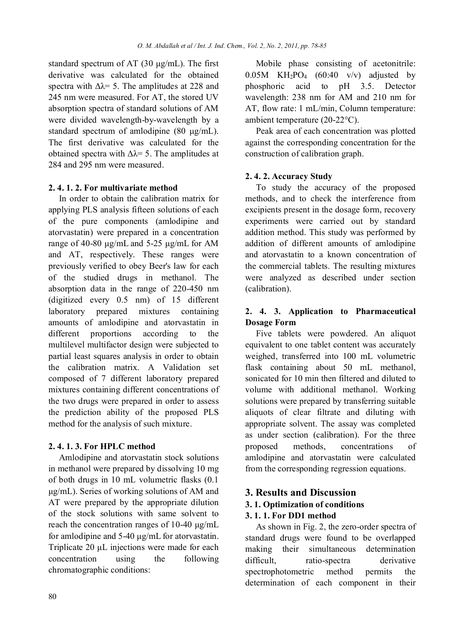standard spectrum of AT (30 μg/mL). The first derivative was calculated for the obtained spectra with  $\Delta \lambda = 5$ . The amplitudes at 228 and 245 nm were measured. For AT, the stored UV absorption spectra of standard solutions of AM were divided wavelength-by-wavelength by a standard spectrum of amlodipine (80 μg/mL). The first derivative was calculated for the obtained spectra with  $\Delta \lambda = 5$ . The amplitudes at 284 and 295 nm were measured.

### **2. 4. 1. 2. For multivariate method**

In order to obtain the calibration matrix for applying PLS analysis fifteen solutions of each of the pure components (amlodipine and atorvastatin) were prepared in a concentration range of 40-80 μg/mL and 5-25 μg/mL for AM and AT, respectively. These ranges were previously verified to obey Beer's law for each of the studied drugs in methanol. The absorption data in the range of 220-450 nm (digitized every 0.5 nm) of 15 different laboratory prepared mixtures containing amounts of amlodipine and atorvastatin in different proportions according to the multilevel multifactor design were subjected to partial least squares analysis in order to obtain the calibration matrix. A Validation set composed of 7 different laboratory prepared mixtures containing different concentrations of the two drugs were prepared in order to assess the prediction ability of the proposed PLS method for the analysis of such mixture.

### **2. 4. 1. 3. For HPLC method**

Amlodipine and atorvastatin stock solutions in methanol were prepared by dissolving 10 mg of both drugs in 10 mL volumetric flasks (0.1 μg/mL). Series of working solutions of AM and AT were prepared by the appropriate dilution of the stock solutions with same solvent to reach the concentration ranges of 10-40 μg/mL for amlodipine and 5-40 μg/mL for atorvastatin. Triplicate 20 μL injections were made for each concentration using the following chromatographic conditions:

Mobile phase consisting of acetonitrile:  $0.05M$  KH<sub>2</sub>PO<sub>4</sub> (60:40 v/v) adjusted by phosphoric acid to pH 3.5. Detector wavelength: 238 nm for AM and 210 nm for AT, flow rate: 1 mL/min, Column temperature: ambient temperature (20-22°C).

Peak area of each concentration was plotted against the corresponding concentration for the construction of calibration graph.

### **2. 4. 2. Accuracy Study**

To study the accuracy of the proposed methods, and to check the interference from excipients present in the dosage form, recovery experiments were carried out by standard addition method. This study was performed by addition of different amounts of amlodipine and atorvastatin to a known concentration of the commercial tablets. The resulting mixtures were analyzed as described under section (calibration).

### **2. 4. 3. Application to Pharmaceutical Dosage Form**

Five tablets were powdered. An aliquot equivalent to one tablet content was accurately weighed, transferred into 100 mL volumetric flask containing about 50 mL methanol, sonicated for 10 min then filtered and diluted to volume with additional methanol. Working solutions were prepared by transferring suitable aliquots of clear filtrate and diluting with appropriate solvent. The assay was completed as under section (calibration). For the three proposed methods, concentrations of amlodipine and atorvastatin were calculated from the corresponding regression equations.

### **3. Results and Discussion**

### **3. 1. Optimization of conditions**

### **3. 1. 1. For DD1 method**

As shown in Fig. 2, the zero-order spectra of standard drugs were found to be overlapped making their simultaneous determination difficult. ratio-spectra derivative spectrophotometric method permits the determination of each component in their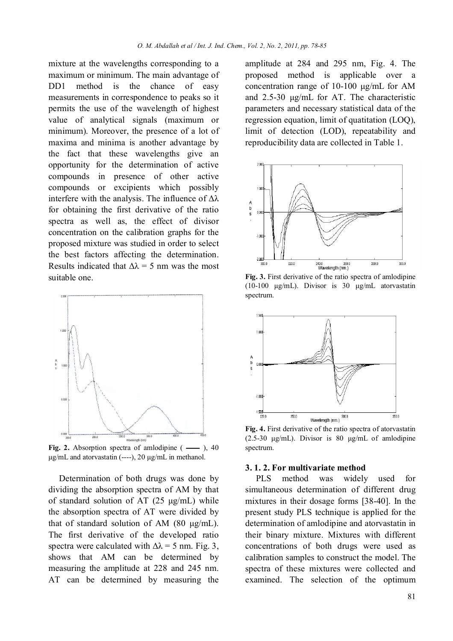mixture at the wavelengths corresponding to a maximum or minimum. The main advantage of DD1 method is the chance of easy measurements in correspondence to peaks so it permits the use of the wavelength of highest value of analytical signals (maximum or minimum). Moreover, the presence of a lot of maxima and minima is another advantage by the fact that these wavelengths give an opportunity for the determination of active compounds in presence of other active compounds or excipients which possibly interfere with the analysis. The influence of  $\Delta\lambda$ for obtaining the first derivative of the ratio spectra as well as, the effect of divisor concentration on the calibration graphs for the proposed mixture was studied in order to select the best factors affecting the determination. Results indicated that  $\Delta \lambda = 5$  nm was the most suitable one.



Fig. 2. Absorption spectra of amlodipine  $($ — $)$ , 40 μg/mL and atorvastatin  $(---)$ , 20 μg/mL in methanol.

Determination of both drugs was done by dividing the absorption spectra of AM by that of standard solution of AT (25 μg/mL) while the absorption spectra of AT were divided by that of standard solution of AM (80 μg/mL). The first derivative of the developed ratio spectra were calculated with  $\Delta \lambda = 5$  nm. Fig. 3, shows that AM can be determined by measuring the amplitude at 228 and 245 nm. AT can be determined by measuring the

amplitude at 284 and 295 nm, Fig. 4. The proposed method is applicable over a concentration range of 10-100 μg/mL for AM and 2.5-30 μg/mL for AT. The characteristic parameters and necessary statistical data of the regression equation, limit of quatitation (LOQ), limit of detection (LOD), repeatability and reproducibility data are collected in Table 1.



**Fig. 3.** First derivative of the ratio spectra of amlodipine (10-100 μg/mL). Divisor is 30 μg/mL atorvastatin spectrum.



**Fig. 4.** First derivative of the ratio spectra of atorvastatin  $(2.5-30 \text{ µg/mL})$ . Divisor is 80  $\mu$ g/mL of amlodipine spectrum.

#### **3. 1. 2. For multivariate method**

PLS method was widely used for simultaneous determination of different drug mixtures in their dosage forms [38-40]. In the present study PLS technique is applied for the determination of amlodipine and atorvastatin in their binary mixture. Mixtures with different concentrations of both drugs were used as calibration samples to construct the model. The spectra of these mixtures were collected and examined. The selection of the optimum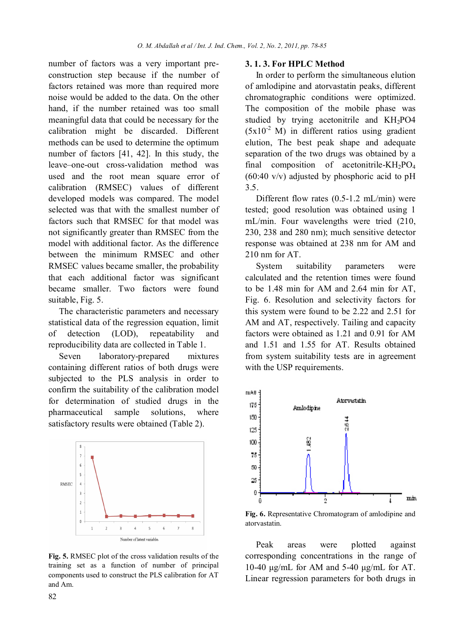number of factors was a very important preconstruction step because if the number of factors retained was more than required more noise would be added to the data. On the other hand, if the number retained was too small meaningful data that could be necessary for the calibration might be discarded. Different methods can be used to determine the optimum number of factors [41, 42]. In this study, the leave–one-out cross-validation method was used and the root mean square error of calibration (RMSEC) values of different developed models was compared. The model selected was that with the smallest number of factors such that RMSEC for that model was not significantly greater than RMSEC from the model with additional factor. As the difference between the minimum RMSEC and other RMSEC values became smaller, the probability that each additional factor was significant became smaller. Two factors were found suitable, Fig. 5.

The characteristic parameters and necessary statistical data of the regression equation, limit of detection (LOD), repeatability and reproducibility data are collected in Table 1.

Seven laboratory-prepared mixtures containing different ratios of both drugs were subjected to the PLS analysis in order to confirm the suitability of the calibration model for determination of studied drugs in the pharmaceutical sample solutions, where satisfactory results were obtained (Table 2).



**Fig. 5.** RMSEC plot of the cross validation results of the training set as a function of number of principal components used to construct the PLS calibration for AT and Am.

#### **3. 1. 3. For HPLC Method**

In order to perform the simultaneous elution of amlodipine and atorvastatin peaks, different chromatographic conditions were optimized. The composition of the mobile phase was studied by trying acetonitrile and KH2PO4  $(5x10<sup>-2</sup> M)$  in different ratios using gradient elution, The best peak shape and adequate separation of the two drugs was obtained by a final composition of acetonitrile-KH<sub>2</sub>PO<sub>4</sub>  $(60:40 \text{ v/v})$  adjusted by phosphoric acid to pH 3.5.

Different flow rates (0.5-1.2 mL/min) were tested; good resolution was obtained using 1 mL/min. Four wavelengths were tried (210, 230, 238 and 280 nm); much sensitive detector response was obtained at 238 nm for AM and 210 nm for AT

System suitability parameters were calculated and the retention times were found to be 1.48 min for AM and 2.64 min for AT, Fig. 6. Resolution and selectivity factors for this system were found to be 2.22 and 2.51 for AM and AT, respectively. Tailing and capacity factors were obtained as 1.21 and 0.91 for AM and 1.51 and 1.55 for AT. Results obtained from system suitability tests are in agreement with the USP requirements.



**Fig. 6.** Representative Chromatogram of amlodipine and atorvastatin.

Peak areas were plotted against corresponding concentrations in the range of 10-40 μg/mL for AM and 5-40 μg/mL for AT. Linear regression parameters for both drugs in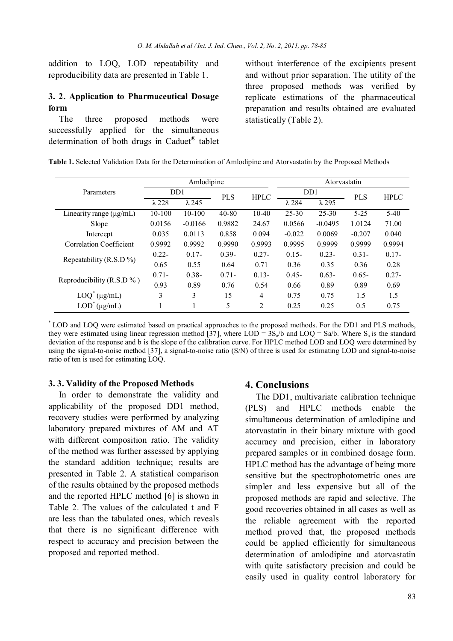addition to LOQ, LOD repeatability and reproducibility data are presented in Table 1.

### **3. 2. Application to Pharmaceutical Dosage form**

The three proposed methods were successfully applied for the simultaneous determination of both drugs in Caduet® tablet without interference of the excipients present and without prior separation. The utility of the three proposed methods was verified by replicate estimations of the pharmaceutical preparation and results obtained are evaluated statistically (Table 2).

|                                | Amlodipine       |               |            |                | Atorvastatin     |               |            |             |
|--------------------------------|------------------|---------------|------------|----------------|------------------|---------------|------------|-------------|
| Parameters                     | D <sub>D</sub> 1 |               | <b>PLS</b> | <b>HPLC</b>    | D <sub>D</sub> 1 |               | <b>PLS</b> | <b>HPLC</b> |
|                                | $\lambda$ 228    | $\lambda$ 245 |            |                | $\lambda$ 284    | $\lambda$ 295 |            |             |
| Linearity range $(\mu g/mL)$   | 10-100           | $10-100$      | $40 - 80$  | 10-40          | 25-30            | 25-30         | $5 - 25$   | 5-40        |
| Slope                          | 0.0156           | $-0.0166$     | 0.9882     | 24.67          | 0.0566           | $-0.0495$     | 1.0124     | 71.00       |
| Intercept                      | 0.035            | 0.0113        | 0.858      | 0.094          | $-0.022$         | 0.0069        | $-0.207$   | 0.040       |
| <b>Correlation Coefficient</b> | 0.9992           | 0.9992        | 0.9990     | 0.9993         | 0.9995           | 0.9999        | 0.9999     | 0.9994      |
| Repeatability (R.S.D %)        | $0.22 -$         | $0.17 -$      | $0.39 -$   | $0.27 -$       | $0.15 -$         | $0.23 -$      | $0.31 -$   | $0.17 -$    |
|                                | 0.65             | 0.55          | 0.64       | 0.71           | 0.36             | 0.35          | 0.36       | 0.28        |
| Reproducibility (R.S.D $\%$ )  | $0.71 -$         | $0.38 -$      | $0.71 -$   | $0.13 -$       | $0.45 -$         | $0.63 -$      | $0.65 -$   | $0.27 -$    |
|                                | 0.93             | 0.89          | 0.76       | 0.54           | 0.66             | 0.89          | 0.89       | 0.69        |
| $LOQ^*(\mu g/mL)$              | 3                | 3             | 15         | 4              | 0.75             | 0.75          | 1.5        | 1.5         |
| $LOD^*(\mu g/mL)$              |                  |               | 5          | $\overline{2}$ | 0.25             | 0.25          | 0.5        | 0.75        |

**Table 1.** Selected Validation Data for the Determination of Amlodipine and Atorvastatin by the Proposed Methods

\* LOD and LOQ were estimated based on practical approaches to the proposed methods. For the DD1 and PLS methods, they were estimated using linear regression method [37], where  $LOD = 3S_a/b$  and  $LOO = Sa/b$ . Where  $S_a$  is the standard deviation of the response and b is the slope of the calibration curve. For HPLC method LOD and LOQ were determined by using the signal-to-noise method [37], a signal-to-noise ratio (S/N) of three is used for estimating LOD and signal-to-noise ratio of ten is used for estimating LOQ.

#### **3. 3. Validity of the Proposed Methods**

In order to demonstrate the validity and applicability of the proposed DD1 method, recovery studies were performed by analyzing laboratory prepared mixtures of AM and AT with different composition ratio. The validity of the method was further assessed by applying the standard addition technique; results are presented in Table 2. A statistical comparison of the results obtained by the proposed methods and the reported HPLC method [6] is shown in Table 2. The values of the calculated t and F are less than the tabulated ones, which reveals that there is no significant difference with respect to accuracy and precision between the proposed and reported method.

#### **4. Conclusions**

The DD1, multivariate calibration technique (PLS) and HPLC methods enable the simultaneous determination of amlodipine and atorvastatin in their binary mixture with good accuracy and precision, either in laboratory prepared samples or in combined dosage form. HPLC method has the advantage of being more sensitive but the spectrophotometric ones are simpler and less expensive but all of the proposed methods are rapid and selective. The good recoveries obtained in all cases as well as the reliable agreement with the reported method proved that, the proposed methods could be applied efficiently for simultaneous determination of amlodipine and atorvastatin with quite satisfactory precision and could be easily used in quality control laboratory for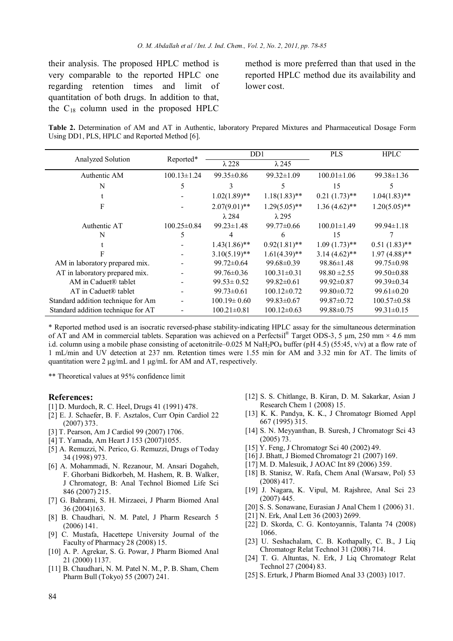their analysis. The proposed HPLC method is very comparable to the reported HPLC one regarding retention times and limit of quantitation of both drugs. In addition to that, the  $C_{18}$  column used in the proposed HPLC

method is more preferred than that used in the reported HPLC method due its availability and lower cost.

**Table 2.** Determination of AM and AT in Authentic, laboratory Prepared Mixtures and Pharmaceutical Dosage Form Using DD1, PLS, HPLC and Reported Method [6].

|                                    |                          |                   | DD1               | <b>PLS</b>        | <b>HPLC</b>       |
|------------------------------------|--------------------------|-------------------|-------------------|-------------------|-------------------|
| Analyzed Solution                  | Reported*                | $\lambda$ 228     | $\lambda$ 245     |                   |                   |
| Authentic AM                       | $100.13 \pm 1.24$        | $99.35 \pm 0.86$  | $99.32 \pm 1.09$  | $100.01 \pm 1.06$ | $99.38 \pm 1.36$  |
| N                                  | 5                        | 3                 | 5.                | 15                | 5                 |
|                                    |                          | $1.02(1.89)$ **   | $1.18(1.83)$ **   | $0.21(1.73)$ **   | $1.04(1.83)$ **   |
| F                                  |                          | $2.07(9.01)$ **   | $1.29(5.05)$ **   | $1.36(4.62)$ **   | $1.20(5.05)$ **   |
|                                    |                          | $\lambda$ 284     | $\lambda$ 295     |                   |                   |
| Authentic AT                       | $100.25 \pm 0.84$        | $99.23 \pm 1.48$  | $99.77 \pm 0.66$  | $100.01 \pm 1.49$ | 99.94±1.18        |
| N                                  | 5                        | 4                 | 6                 | 15                |                   |
|                                    |                          | $1.43(1.86)$ **   | $0.92(1.81)$ **   | $1.09(1.73)$ **   | $0.51(1.83)$ **   |
|                                    |                          | $3.10(5.19)$ **   | $1.61(4.39)$ **   | $3.14(4.62)$ **   | $1.97(4.88)$ **   |
| AM in laboratory prepared mix.     |                          | $99.72 \pm 0.64$  | $99.68 \pm 0.39$  | $98.86 \pm 1.48$  | 99.75 ± 0.98      |
| AT in laboratory prepared mix.     |                          | $99.76 \pm 0.36$  | $100.31 \pm 0.31$ | $98.80 \pm 2.55$  | $99.50 \pm 0.88$  |
| AM in Caduet® tablet               |                          | $99.53 \pm 0.52$  | $99.82 \pm 0.61$  | $99.92 \pm 0.87$  | 99.39±0.34        |
| AT in Caduet® tablet               |                          | $99.73 \pm 0.61$  | $100.12 \pm 0.72$ | $99.80 \pm 0.72$  | $99.61 \pm 0.20$  |
| Standard addition technique for Am | $\overline{\phantom{a}}$ | $100.19 \pm 0.60$ | $99.83 \pm 0.67$  | $99.87 \pm 0.72$  | $100.57 \pm 0.58$ |
| Standard addition technique for AT |                          | $100.21 \pm 0.81$ | $100.12 \pm 0.63$ | 99.88±0.75        | $99.31 \pm 0.15$  |

\* Reported method used is an isocratic reversed-phase stability-indicating HPLC assay for the simultaneous determination of AT and AM in commercial tablets. Separation was achieved on a Perfectsil<sup>®</sup> Target ODS-3, 5  $\mu$ m, 250 mm × 4.6 mm i.d. column using a mobile phase consisting of acetonitrile–0.025 M NaH<sub>2</sub>PO<sub>4</sub> buffer (pH 4.5) (55:45, v/v) at a flow rate of 1 mL/min and UV detection at 237 nm. Retention times were 1.55 min for AM and 3.32 min for AT. The limits of quantitation were 2 μg/mL and 1 μg/mL for AM and AT, respectively.

\*\* Theoretical values at 95% confidence limit

#### **References:**

- [1] D. Murdoch, R. C. Heel, Drugs 41 (1991) 478.
- [2] E. J. Schaefer, B. F. Asztalos, Curr Opin Cardiol 22 (2007) 373.
- [3] T. Pearson, Am J Cardiol 99 (2007) 1706.
- [4] T. Yamada, Am Heart J 153 (2007)1055.
- [5] A. Remuzzi, N. Perico, G. Remuzzi, Drugs of Today 34 (1998) 973.
- [6] A. Mohammadi, N. Rezanour, M. Ansari Dogaheh, F. Ghorbani Bidkorbeh, M. Hashem, R. B. Walker, J Chromatogr, B: Anal Technol Biomed Life Sci 846 (2007) 215.
- [7] G. Bahrami, S. H. Mirzaeei, J Pharm Biomed Anal 36 (2004)163.
- [8] B. Chaudhari, N. M. Patel, J Pharm Research 5 (2006) 141.
- [9] C. Mustafa, Hacettepe University Journal of the Faculty of Pharmacy 28 (2008) 15.
- [10] A. P. Agrekar, S. G. Powar, J Pharm Biomed Anal 21 (2000) 1137.
- [11] B. Chaudhari, N. M. Patel N. M., P. B. Sham, Chem Pharm Bull (Tokyo) 55 (2007) 241.
- [12] S. S. Chitlange, B. Kiran, D. M. Sakarkar, Asian J Research Chem 1 (2008) 15.
- [13] K. K. Pandya, K. K., J Chromatogr Biomed Appl 667 (1995) 315.
- [14] S. N. Meyyanthan, B. Suresh, J Chromatogr Sci 43 (2005) 73.
- [15] Y. Feng, J Chromatogr Sci 40 (2002) 49.
- [16] J. Bhatt, J Biomed Chromatogr 21 (2007) 169.
- [17] M. D. Malesuik, J AOAC Int 89 (2006) 359.
- [18] B. Stanisz, W. Rafa, Chem Anal (Warsaw, Pol) 53 (2008) 417.
- [19] J. Nagara, K. Vipul, M. Rajshree, Anal Sci 23 (2007) 445.
- [20] S. S. Sonawane, Eurasian J Anal Chem 1 (2006) 31.
- [21] N. Erk, Anal Lett 36 (2003) 2699.
- [22] D. Skorda, C. G. Kontoyannis, Talanta 74 (2008) 1066.
- [23] U. Seshachalam, C. B. Kothapally, C. B., J Liq Chromatogr Relat Technol 31 (2008) 714.
- [24] T. G. Altuntas, N. Erk, J Liq Chromatogr Relat Technol 27 (2004) 83.
- [25] S. Erturk, J Pharm Biomed Anal 33 (2003) 1017.